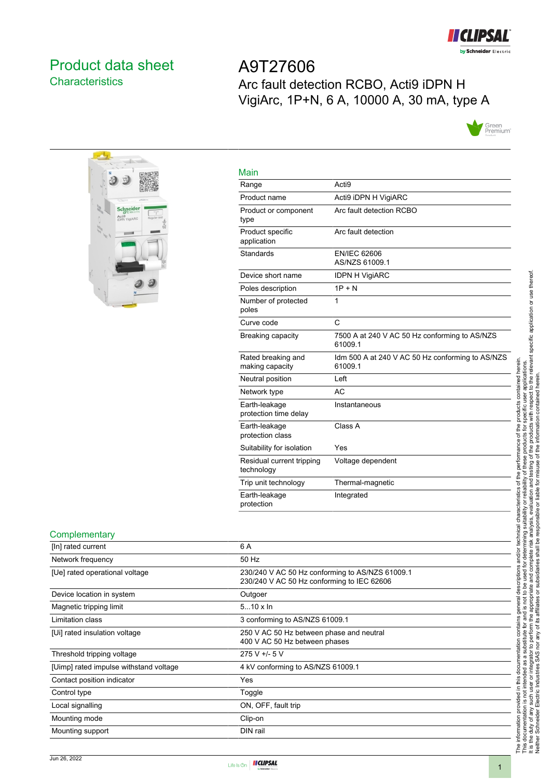

# <span id="page-0-0"></span>Product data sheet **Characteristics**

A9T27606 Arc fault detection RCBO, Acti9 iDPN H VigiArc, 1P+N, 6 A, 10000 A, 30 mA, type A





| Main                                    |                                                             |
|-----------------------------------------|-------------------------------------------------------------|
| Range                                   | Acti <sub>9</sub>                                           |
| Product name                            | Acti9 iDPN H VigiARC                                        |
| Product or component<br>type            | Arc fault detection RCBO                                    |
| Product specific<br>application         | Arc fault detection                                         |
| Standards                               | <b>EN/IEC 62606</b><br>AS/NZS 61009.1                       |
| Device short name                       | <b>IDPN H VigiARC</b>                                       |
| Poles description                       | $1P + N$                                                    |
| Number of protected<br>poles            | 1                                                           |
| Curve code                              | $\mathsf{C}$                                                |
| Breaking capacity                       | 7500 A at 240 V AC 50 Hz conforming to AS/NZS<br>61009.1    |
| Rated breaking and<br>making capacity   | Idm 500 A at 240 V AC 50 Hz conforming to AS/NZS<br>61009.1 |
| Neutral position                        | Left                                                        |
| Network type                            | AC.                                                         |
| Earth-leakage<br>protection time delay  | Instantaneous                                               |
| Earth-leakage<br>protection class       | Class A                                                     |
| Suitability for isolation               | Yes                                                         |
| Residual current tripping<br>technology | Voltage dependent                                           |
| Trip unit technology                    | Thermal-magnetic                                            |
| Earth-leakage<br>protection             | Integrated                                                  |

#### **Complementary**

| <u>----------------</u>                |                                                                                               |
|----------------------------------------|-----------------------------------------------------------------------------------------------|
| [In] rated current                     | 6 A                                                                                           |
| Network frequency                      | 50 Hz                                                                                         |
| [Ue] rated operational voltage         | 230/240 V AC 50 Hz conforming to AS/NZS 61009.1<br>230/240 V AC 50 Hz conforming to IEC 62606 |
| Device location in system              | Outgoer                                                                                       |
| Magnetic tripping limit                | $510 \times \ln$                                                                              |
| Limitation class                       | 3 conforming to AS/NZS 61009.1                                                                |
| [Ui] rated insulation voltage          | 250 V AC 50 Hz between phase and neutral<br>400 V AC 50 Hz between phases                     |
| Threshold tripping voltage             | $275 V + 5 V$                                                                                 |
| [Uimp] rated impulse withstand voltage | 4 kV conforming to AS/NZS 61009.1                                                             |
| Contact position indicator             | Yes                                                                                           |
| Control type                           | Toggle                                                                                        |
| Local signalling                       | ON, OFF, fault trip                                                                           |
| Mounting mode                          | Clip-on                                                                                       |
| Mounting support                       | DIN rail                                                                                      |
|                                        |                                                                                               |